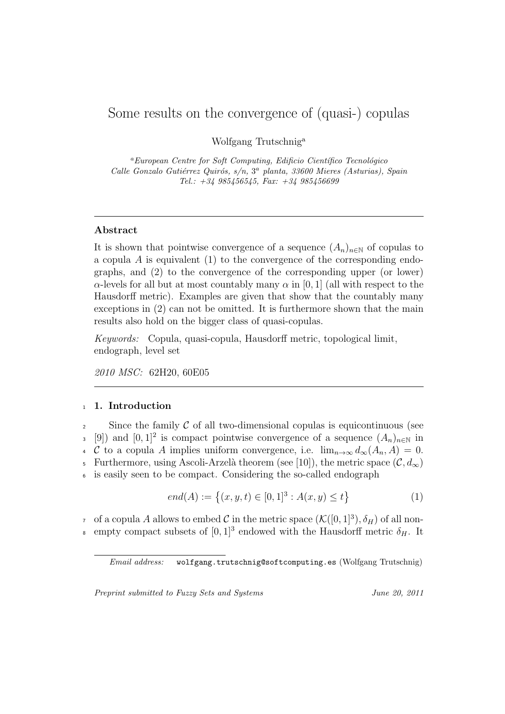# Some results on the convergence of (quasi-) copulas

Wolfgang Trutschnig<sup>a</sup>

<sup>a</sup>*European Centre for Soft Computing, Edificio Científico Tecnológico* Calle Gonzalo Gutiérrez Quirós, s/n, 3ª planta, 33600 Mieres (Asturias), Spain *Tel.: +34 985456545, Fax: +34 985456699*

### **Abstract**

It is shown that pointwise convergence of a sequence  $(A_n)_{n\in\mathbb{N}}$  of copulas to a copula *A* is equivalent (1) to the convergence of the corresponding endographs, and (2) to the convergence of the corresponding upper (or lower) *α*-levels for all but at most countably many *α* in [0, 1] (all with respect to the Hausdorff metric). Examples are given that show that the countably many exceptions in (2) can not be omitted. It is furthermore shown that the main results also hold on the bigger class of quasi-copulas.

*Keywords:* Copula, quasi-copula, Hausdorff metric, topological limit, endograph, level set

*2010 MSC:* 62H20, 60E05

## <sup>1</sup> **1. Introduction**

<sup>2</sup> Since the family *C* of all two-dimensional copulas is equicontinuous (see 3 [9]) and  $[0,1]^2$  is compact pointwise convergence of a sequence  $(A_n)_{n\in\mathbb{N}}$  in 4 *C* to a copula *A* implies uniform convergence, i.e.  $\lim_{n\to\infty} d_{\infty}(A_n, A) = 0$ . 5 Furthermore, using Ascoli-Arzelà theorem (see [10]), the metric space  $(C, d_{\infty})$ is easily seen to be compact. Considering the so-called endograph

$$
end(A) := \{(x, y, t) \in [0, 1]^3 : A(x, y) \le t\}
$$
 (1)

of a copula *A* allows to embed *C* in the metric space  $(\mathcal{K}([0,1]^3), \delta_H)$  of all nonempty compact subsets of  $[0, 1]^3$  endowed with the Hausdorff metric  $\delta_H$ . It

*Preprint submitted to Fuzzy Sets and Systems June 20, 2011*

*Email address:* wolfgang.trutschnig@softcomputing.es (Wolfgang Trutschnig)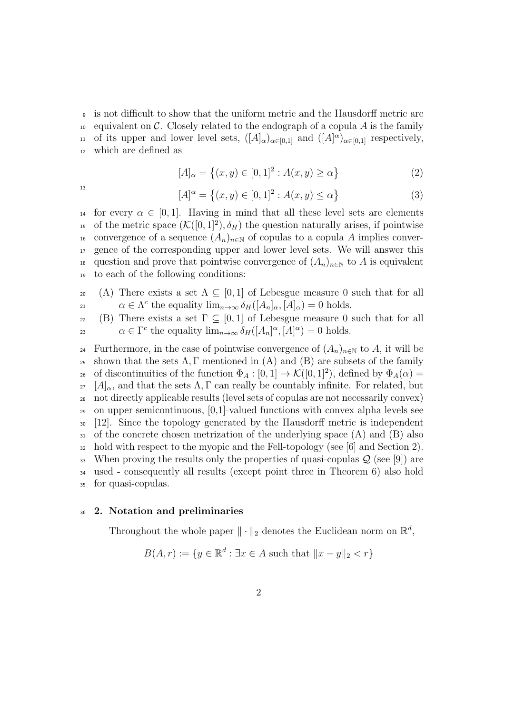<sup>9</sup> is not difficult to show that the uniform metric and the Hausdorff metric are  $_{10}$  equivalent on *C*. Closely related to the endograph of a copula *A* is the family of its upper and lower level sets,  $([A]_{\alpha})_{\alpha \in [0,1]}$  and  $([A]^{\alpha})_{\alpha \in [0,1]}$  respectively, <sup>12</sup> which are defined as

$$
[A]_{\alpha} = \{(x, y) \in [0, 1]^2 : A(x, y) \ge \alpha\}
$$
 (2)

13

$$
[A]^\alpha = \{(x, y) \in [0, 1]^2 : A(x, y) \le \alpha\}
$$
 (3)

14 for every  $\alpha \in [0, 1]$ . Having in mind that all these level sets are elements <sup>15</sup> of the metric space  $(\mathcal{K}([0,1]^2), \delta_H)$  the question naturally arises, if pointwise 16 convergence of a sequence  $(A_n)_{n\in\mathbb{N}}$  of copulas to a copula A implies conver-<sup>17</sup> gence of the corresponding upper and lower level sets. We will answer this 18 question and prove that pointwise convergence of  $(A_n)_{n\in\mathbb{N}}$  to A is equivalent <sup>19</sup> to each of the following conditions:

20 (A) There exists a set  $\Lambda \subseteq [0,1]$  of Lebesgue measure 0 such that for all *α*  $\in \Lambda^c$  the equality  $\lim_{n\to\infty} \delta_H([A_n]_\alpha,[A]_\alpha) = 0$  holds.

22 (B) There exists a set  $\Gamma \subseteq [0,1]$  of Lebesgue measure 0 such that for all *α*  $\in \Gamma^c$  the equality  $\lim_{n\to\infty} \delta_H([A_n]^{\alpha}, [A]^{\alpha}) = 0$  holds.

24 Furthermore, in the case of pointwise convergence of  $(A_n)_{n\in\mathbb{N}}$  to A, it will be <sup>25</sup> shown that the sets  $\Lambda$ , Γ mentioned in (A) and (B) are subsets of the family  $\alpha_6$  of discontinuities of the function  $\Phi_A : [0,1] \to \mathcal{K}([0,1]^2)$ , defined by  $\Phi_A(\alpha) =$  $27 \left[A\right]_{\alpha}$ , and that the sets  $\Lambda$ ,  $\Gamma$  can really be countably infinite. For related, but <sup>28</sup> not directly applicable results (level sets of copulas are not necessarily convex) <sup>29</sup> on upper semicontinuous, [0,1]-valued functions with convex alpha levels see <sup>30</sup> [12]. Since the topology generated by the Hausdorff metric is independent <sup>31</sup> of the concrete chosen metrization of the underlying space (A) and (B) also  $32 \text{ hold with respect to the myopic and the Fell-topology (see [6] and Section 2).}$ <sup>33</sup> When proving the results only the properties of quasi-copulas *Q* (see [9]) are <sup>34</sup> used - consequently all results (except point three in Theorem 6) also hold <sup>35</sup> for quasi-copulas.

#### <sup>36</sup> **2. Notation and preliminaries**

Throughout the whole paper  $\|\cdot\|_2$  denotes the Euclidean norm on  $\mathbb{R}^d$ ,

$$
B(A, r) := \{ y \in \mathbb{R}^d : \exists x \in A \text{ such that } ||x - y||_2 < r \}
$$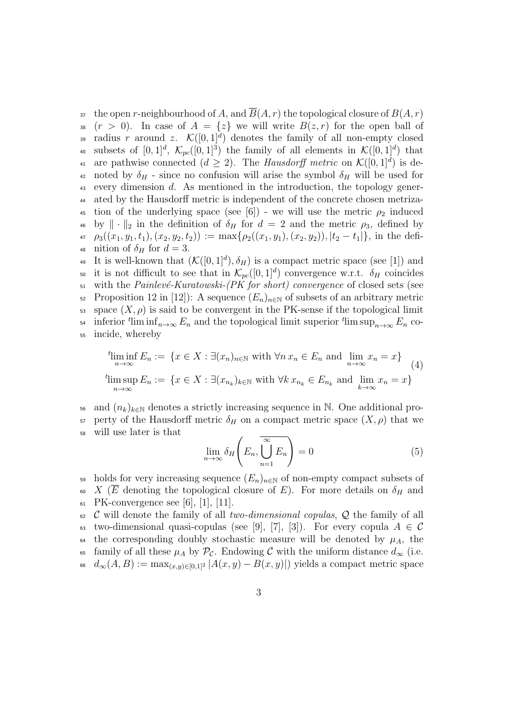$\overline{B}(A,r)$  the open *r*-neighbourhood of *A*, and  $\overline{B}(A,r)$  the topological closure of  $B(A,r)$ 38  $(r > 0)$ . In case of  $A = \{z\}$  we will write  $B(z, r)$  for the open ball of 39 radius *r* around *z*.  $\mathcal{K}([0,1]^d)$  denotes the family of all non-empty closed subsets of  $[0,1]^d$ ,  $\mathcal{K}_{pc}([0,1]^3)$  the family of all elements in  $\mathcal{K}([0,1]^d)$  that are pathwise connected  $(d \geq 2)$ . The *Hausdorff metric* on  $\mathcal{K}([0,1]^d)$  is de-<sup>42</sup> noted by  $\delta_H$  - since no confusion will arise the symbol  $\delta_H$  will be used for <sup>43</sup> every dimension *d*. As mentioned in the introduction, the topology gener-<sup>44</sup> ated by the Hausdorff metric is independent of the concrete chosen metriza-<sup>45</sup> tion of the underlying space (see [6]) - we will use the metric  $\rho_2$  induced <sup>46</sup> by  $\|\cdot\|_2$  in the definition of  $\delta_H$  for  $d = 2$  and the metric  $\rho_3$ , defined by 47  $\rho_3((x_1,y_1,t_1),(x_2,y_2,t_2)) := \max\{\rho_2((x_1,y_1),(x_2,y_2)),|t_2-t_1|\},\$ in the defi-48 nition of  $\delta_H$  for  $d=3$ .

<sup>49</sup> It is well-known that  $(\mathcal{K}([0,1]^d), \delta_H)$  is a compact metric space (see [1]) and so it is not difficult to see that in  $\mathcal{K}_{pc}([0,1]^d)$  convergence w.r.t.  $\delta_H$  coincides <sup>51</sup> with the *Painlev´e-Kuratowski-(PK for short) convergence* of closed sets (see 52 Proposition 12 in [12]): A sequence  $(E_n)_{n\in\mathbb{N}}$  of subsets of an arbitrary metric  $\mathfrak{so}$  space  $(X, \rho)$  is said to be convergent in the PK-sense if the topological limit  $\lim_{n \to \infty} \lim_{n \to \infty} E_n$  and the topological limit superior  $t \lim_{n \to \infty} E_n$  co-<sup>55</sup> incide, whereby

$$
\liminf_{n \to \infty} E_n := \{ x \in X : \exists (x_n)_{n \in \mathbb{N}} \text{ with } \forall n \, x_n \in E_n \text{ and } \lim_{n \to \infty} x_n = x \}
$$
\n
$$
\limsup_{n \to \infty} E_n := \{ x \in X : \exists (x_{n_k})_{k \in \mathbb{N}} \text{ with } \forall k \, x_{n_k} \in E_{n_k} \text{ and } \lim_{k \to \infty} x_n = x \}
$$
\n
$$
(4)
$$

and  $(n_k)_{k\in\mathbb{N}}$  denotes a strictly increasing sequence in N. One additional pro-57 perty of the Hausdorff metric  $δ$ <sup>*H*</sup> on a compact metric space  $(X, ρ)$  that we <sup>58</sup> will use later is that

$$
\lim_{n \to \infty} \delta_H \left( E_n, \bigcup_{n=1}^{\infty} E_n \right) = 0 \tag{5}
$$

59 holds for very increasing sequence  $(E_n)_{n\in\mathbb{N}}$  of non-empty compact subsets of 60 *X* ( $\overline{E}$  denoting the topological closure of *E*). For more details on  $\delta_H$  and 61 PK-convergence see [6], [1], [11].

<sup>62</sup> *C* will denote the family of all *two-dimensional copulas*, *Q* the family of all 63 two-dimensional quasi-copulas (see [9], [7], [3]). For every copula  $A \in \mathcal{C}$ 64 the corresponding doubly stochastic measure will be denoted by  $\mu_A$ , the 65 family of all these  $\mu_A$  by  $\mathcal{P}_c$ . Endowing *C* with the uniform distance  $d_{\infty}$  (i.e.  $d_{\infty}(A, B) := \max_{(x,y) \in [0,1]^2} |A(x,y) - B(x,y)|$  yields a compact metric space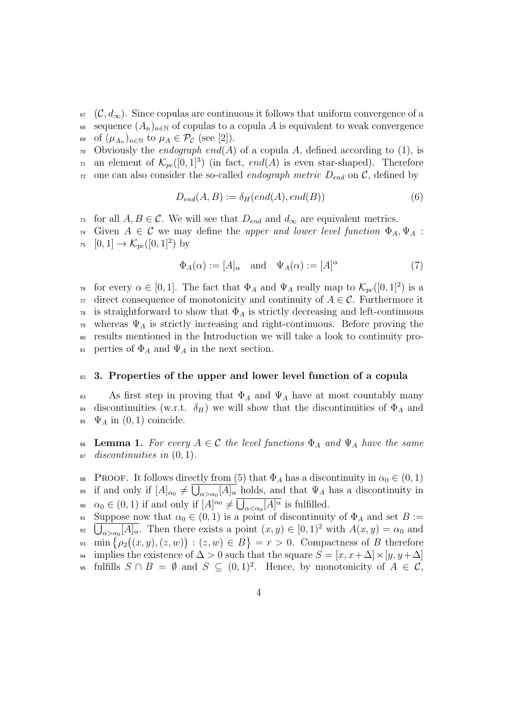- $\epsilon_7$  (*C*,  $d_{\infty}$ ). Since copulas are continuous it follows that uniform convergence of a 68 sequence  $(A_n)_{n\in\mathbb{N}}$  of copulas to a copula A is equivalent to weak convergence of  $(\mu_{A_n})_{n \in \mathbb{N}}$  to  $\mu_A \in \mathcal{P}_{\mathcal{C}}$  (see [2]).
- $\tau$ <sup>0</sup> Obviously the *endograph end*(*A*) of a copula *A*, defined according to (1), is  $\pi_1$  an element of  $\mathcal{K}_{pc}([0,1]^3)$  (in fact, end(A) is even star-shaped). Therefore
- $72$  one can also consider the so-called *endograph metric*  $D_{end}$  on  $\mathcal{C}$ , defined by

$$
D_{end}(A, B) := \delta_H(end(A), end(B))
$$
\n(6)

- 73 for all  $A, B \in \mathcal{C}$ . We will see that  $D_{end}$  and  $d_{\infty}$  are equivalent metrics.
- $74$  Given  $A \in \mathcal{C}$  we may define the *upper and lower level function*  $\Phi_A, \Psi_A$ :  $75 \quad [0,1] \to \mathcal{K}_{pc}([0,1]^2)$  by

$$
\Phi_A(\alpha) := [A]_{\alpha} \quad \text{and} \quad \Psi_A(\alpha) := [A]^{\alpha} \tag{7}
$$

<sup>76</sup> for every  $\alpha \in [0,1]$ . The fact that  $\Phi_A$  and  $\Psi_A$  really map to  $\mathcal{K}_{pc}([0,1]^2)$  is a  $77$  direct consequence of monotonicity and continuity of  $A \in \mathcal{C}$ . Furthermore it <sup>78</sup> is straightforward to show that  $\Phi_A$  is strictly decreasing and left-continuous <sup>79</sup> whereas  $\Psi_A$  is strictly increasing and right-continuous. Before proving the <sup>80</sup> results mentioned in the Introduction we will take a look to continuity pro-<sup>81</sup> perties of  $\Phi$ <sub>*A*</sub> and  $\Psi$ <sub>*A*</sub> in the next section.

#### <sup>82</sup> **3. Properties of the upper and lower level function of a copula**

83 As first step in proving that  $\Phi_A$  and  $\Psi_A$  have at most countably many 84 discontinuities (w.r.t.  $\delta_H$ ) we will show that the discontinuities of  $\Phi_A$  and 85  $\Psi_A$  in  $(0,1)$  coincide.

- 86 **Lemma 1.** For every  $A \in \mathcal{C}$  the level functions  $\Phi_A$  and  $\Psi_A$  have the same <sup>87</sup> *discontinuities in* (0*,* 1)*.*
- 88 PROOF. It follows directly from (5) that  $\Phi_A$  has a discontinuity in  $\alpha_0 \in (0,1)$ if and only if  $[A]_{\alpha_0} \neq \bigcup_{\alpha > \alpha_0} [A]_{\alpha}$  holds, and that  $\Psi_A$  has a discontinuity in  $\alpha_0 \in (0, 1)$  if and only if  $[A]^{\alpha_0} \neq \overline{\bigcup_{\alpha < \alpha_0} [A]^{\alpha}}$  is fulfilled.
- 91 Suppose now that  $\alpha_0 \in (0,1)$  is a point of discontinuity of  $\Phi_A$  and set  $B :=$ <sup>92</sup>  $\overline{\bigcup_{\alpha > \alpha_0} [A]_{\alpha}}$ . Then there exists a point  $(x, y) \in [0, 1)^2$  with  $A(x, y) = \alpha_0$  and  $\min \{\rho_2((x,y),(z,w)) : (z,w) \in B\} = r > 0.$  Compactness of *B* therefore <sup>94</sup> implies the existence of  $\Delta > 0$  such that the square  $S = [x, x + \Delta] \times [y, y + \Delta]$ 95 fulfills  $S \cap B = ∅$  and  $S \subseteq (0,1)^2$ . Hence, by monotonicity of  $A \in \mathcal{C}$ ,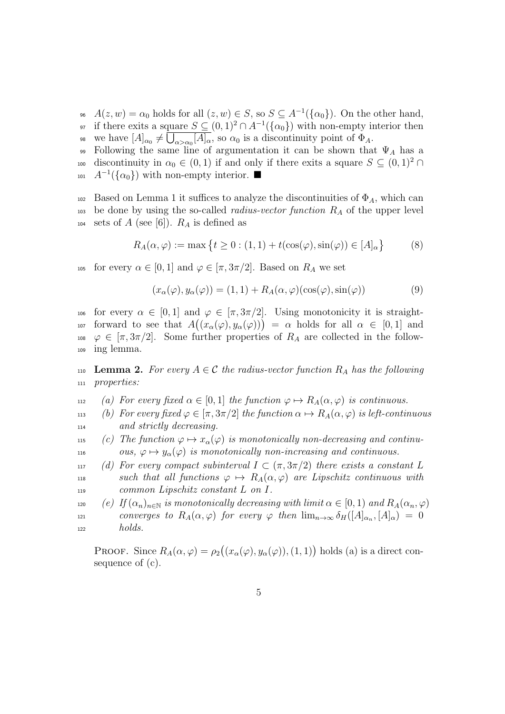<sup>96</sup>  $A(z, w) = \alpha_0$  holds for all  $(z, w) \in S$ , so  $S \subseteq A^{-1}(\{\alpha_0\})$ . On the other hand, <sup>97</sup> if there exits a square  $S \subseteq (0,1)^2 \cap A^{-1}(\{\alpha_0\})$  with non-empty interior then we have  $[A]_{\alpha_0} \neq \bigcup_{\alpha > \alpha_0} [A]_{\alpha}$ , so  $\alpha_0$  is a discontinuity point of  $\Phi_A$ .

Following the same line of argumentation it can be shown that  $\Psi_A$  has a discontinuity in  $\alpha_0 \in (0,1)$  if and only if there exits a square  $S \subseteq (0,1)^2 \cap$  $A^{-1}(\{\alpha_0\})$  with non-empty interior. ■

102 Based on Lemma 1 it suffices to analyze the discontinuities of  $\Phi_A$ , which can <sup>103</sup> be done by using the so-called *radius-vector function R<sup>A</sup>* of the upper level 104 sets of *A* (see [6]).  $R_A$  is defined as

$$
R_A(\alpha, \varphi) := \max \left\{ t \ge 0 : (1, 1) + t(\cos(\varphi), \sin(\varphi)) \in [A]_{\alpha} \right\} \tag{8}
$$

105 for every  $\alpha \in [0,1]$  and  $\varphi \in [\pi, 3\pi/2]$ . Based on  $R_A$  we set

$$
(x_{\alpha}(\varphi), y_{\alpha}(\varphi)) = (1, 1) + R_A(\alpha, \varphi)(\cos(\varphi), \sin(\varphi))
$$
\n(9)

106 for every  $\alpha \in [0,1]$  and  $\varphi \in [\pi,3\pi/2]$ . Using monotonicity it is straightforward to see that  $A((x_{\alpha}(\varphi), y_{\alpha}(\varphi))) = \alpha$  holds for all  $\alpha \in [0,1]$  and 108  $\varphi \in [\pi, 3\pi/2]$ . Some further properties of  $R_A$  are collected in the follow-<sup>109</sup> ing lemma.

110 **Lemma 2.** For every  $A \in \mathcal{C}$  the radius-vector function  $R_A$  has the following <sup>111</sup> *properties:*

- 112 *(a)* For every fixed  $\alpha \in [0,1]$  the function  $\varphi \mapsto R_A(\alpha, \varphi)$  is continuous.
- 113 *(b)* For every fixed  $\varphi \in [\pi, 3\pi/2]$  the function  $\alpha \mapsto R_A(\alpha, \varphi)$  is left-continuous <sup>114</sup> *and strictly decreasing.*
- 115 *(c)* The function  $\varphi \mapsto x_{\alpha}(\varphi)$  is monotonically non-decreasing and continu-116 *ous,*  $\varphi \mapsto y_{\alpha}(\varphi)$  *is monotonically non-increasing and continuous.*
- 117 *(d)* For every compact subinterval  $I \subset (\pi, 3\pi/2)$  there exists a constant L 118 **such that all functions**  $\varphi \mapsto R_A(\alpha, \varphi)$  are Lipschitz continuous with <sup>119</sup> *common Lipschitz constant L on I.*

120 *(e) If*  $(\alpha_n)_{n \in \mathbb{N}}$  *is monotonically decreasing with limit*  $\alpha \in [0,1)$  *and*  $R_A(\alpha_n, \varphi)$ *converges to*  $R_A(\alpha, \varphi)$  *for every*  $\varphi$  *then*  $\lim_{n\to\infty} \delta_H([A]_{\alpha_n}, [A]_{\alpha}) = 0$ <sup>122</sup> *holds.*

PROOF. Since  $R_A(\alpha, \varphi) = \rho_2((x_\alpha(\varphi), y_\alpha(\varphi)), (1, 1))$  holds (a) is a direct consequence of (c).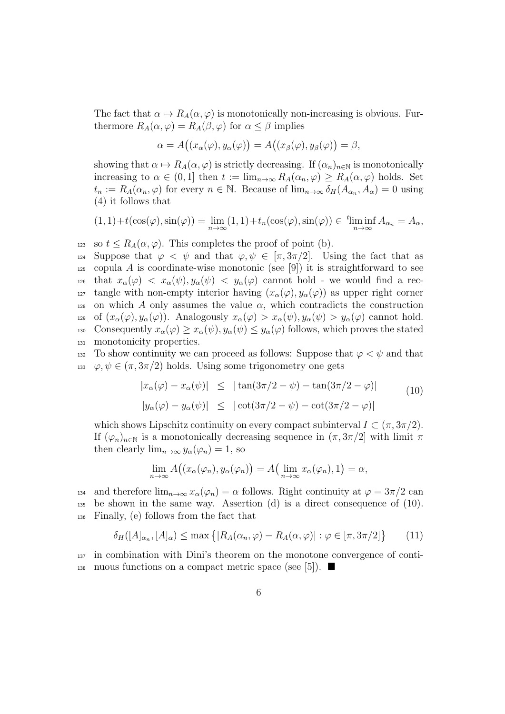The fact that  $\alpha \mapsto R_A(\alpha, \varphi)$  is monotonically non-increasing is obvious. Furthermore  $R_A(\alpha, \varphi) = R_A(\beta, \varphi)$  for  $\alpha \leq \beta$  implies

$$
\alpha = A\big((x_{\alpha}(\varphi),y_{\alpha}(\varphi)\big) = A\big((x_{\beta}(\varphi),y_{\beta}(\varphi)\big) = \beta,
$$

showing that  $\alpha \mapsto R_A(\alpha, \varphi)$  is strictly decreasing. If  $(\alpha_n)_{n \in \mathbb{N}}$  is monotonically increasing to  $\alpha \in (0,1]$  then  $t := \lim_{n \to \infty} R_A(\alpha_n, \varphi) \geq R_A(\alpha, \varphi)$  holds. Set  $t_n := R_A(\alpha_n, \varphi)$  for every  $n \in \mathbb{N}$ . Because of  $\lim_{n \to \infty} \delta_H(A_{\alpha_n}, A_{\alpha}) = 0$  using (4) it follows that

$$
(1,1)+t(\cos(\varphi),\sin(\varphi))=\lim_{n\to\infty}(1,1)+t_n(\cos(\varphi),\sin(\varphi))\in \liminf_{n\to\infty}A_{\alpha_n}=A_{\alpha},
$$

123 so  $t \leq R_A(\alpha, \varphi)$ . This completes the proof of point (b).

124 Suppose that  $\varphi \langle \psi \rangle$  and that  $\varphi, \psi \in [\pi, 3\pi/2]$ . Using the fact that as 125 copula A is coordinate-wise monotonic (see [9]) it is straightforward to see 126 that  $x_\alpha(\varphi) < x_\alpha(\psi), y_\alpha(\psi) < y_\alpha(\varphi)$  cannot hold - we would find a rec-127 tangle with non-empty interior having  $(x_\alpha(\varphi), y_\alpha(\varphi))$  as upper right corner 128 on which *A* only assumes the value  $\alpha$ , which contradicts the construction 129 of  $(x_\alpha(\varphi), y_\alpha(\varphi))$ . Analogously  $x_\alpha(\varphi) > x_\alpha(\psi), y_\alpha(\psi) > y_\alpha(\varphi)$  cannot hold. 130 Consequently  $x_\alpha(\varphi) \ge x_\alpha(\psi)$ ,  $y_\alpha(\psi) \le y_\alpha(\varphi)$  follows, which proves the stated <sup>131</sup> monotonicity properties.

132 To show continuity we can proceed as follows: Suppose that  $\varphi < \psi$  and that 133  $\varphi, \psi \in (\pi, 3\pi/2)$  holds. Using some trigonometry one gets

$$
|x_{\alpha}(\varphi) - x_{\alpha}(\psi)| \leq |\tan(3\pi/2 - \psi) - \tan(3\pi/2 - \varphi)|
$$
  

$$
|y_{\alpha}(\varphi) - y_{\alpha}(\psi)| \leq |\cot(3\pi/2 - \psi) - \cot(3\pi/2 - \varphi)|
$$
 (10)

which shows Lipschitz continuity on every compact subinterval  $I \subset (\pi, 3\pi/2)$ . If  $(\varphi_n)_{n\in\mathbb{N}}$  is a monotonically decreasing sequence in  $(\pi, 3\pi/2]$  with limit  $\pi$ then clearly  $\lim_{n\to\infty} y_\alpha(\varphi_n) = 1$ , so

$$
\lim_{n \to \infty} A((x_{\alpha}(\varphi_n), y_{\alpha}(\varphi_n)) = A(\lim_{n \to \infty} x_{\alpha}(\varphi_n), 1) = \alpha,
$$

134 and therefore  $\lim_{n\to\infty} x_\alpha(\varphi_n) = \alpha$  follows. Right continuity at  $\varphi = 3\pi/2$  can <sup>135</sup> be shown in the same way. Assertion (d) is a direct consequence of (10). <sup>136</sup> Finally, (e) follows from the fact that

$$
\delta_H([A]_{\alpha_n}, [A]_{\alpha}) \le \max\left\{ |R_A(\alpha_n, \varphi) - R_A(\alpha, \varphi)| : \varphi \in [\pi, 3\pi/2] \right\} \tag{11}
$$

<sup>137</sup> in combination with Dini's theorem on the monotone convergence of conti-138 nuous functions on a compact metric space (see [5]).  $\blacksquare$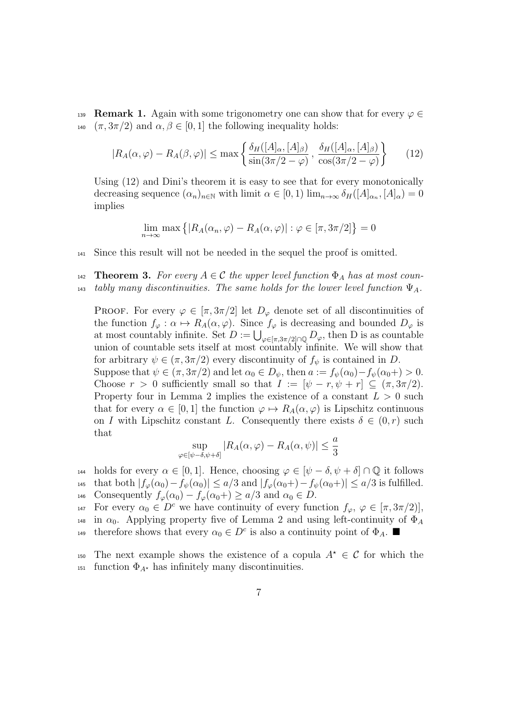**Remark 1.** Again with some trigonometry one can show that for every  $\varphi \in$ 140  $(\pi, 3\pi/2)$  and  $\alpha, \beta \in [0, 1]$  the following inequality holds:

$$
|R_A(\alpha,\varphi) - R_A(\beta,\varphi)| \le \max\left\{\frac{\delta_H([A]_\alpha,[A]_\beta)}{\sin(3\pi/2-\varphi)}, \frac{\delta_H([A]_\alpha,[A]_\beta)}{\cos(3\pi/2-\varphi)}\right\} \tag{12}
$$

Using (12) and Dini's theorem it is easy to see that for every monotonically decreasing sequence  $(\alpha_n)_{n \in \mathbb{N}}$  with limit  $\alpha \in [0, 1)$  lim<sub> $n \to \infty$ </sub>  $\delta_H([A]_{\alpha_n}, [A]_{\alpha}) = 0$ implies

$$
\lim_{n \to \infty} \max \left\{ |R_A(\alpha_n, \varphi) - R_A(\alpha, \varphi)| : \varphi \in [\pi, 3\pi/2] \right\} = 0
$$

- <sup>141</sup> Since this result will not be needed in the sequel the proof is omitted.
- **Theorem 3.** For every  $A \in \mathcal{C}$  the upper level function  $\Phi_A$  has at most coun-143 *tably many discontinuities. The same holds for the lower level function*  $\Psi_A$ .

PROOF. For every  $\varphi \in [\pi, 3\pi/2]$  let  $D_{\varphi}$  denote set of all discontinuities of the function  $f_{\varphi}: \alpha \mapsto R_A(\alpha, \varphi)$ . Since  $f_{\varphi}$  is decreasing and bounded  $D_{\varphi}$  is at most countably infinite. Set  $D := \bigcup_{\varphi \in [\pi, 3\pi/2] \cap \mathbb{Q}} D_{\varphi}$ , then D is as countable union of countable sets itself at most countably infinite. We will show that for arbitrary  $\psi \in (\pi, 3\pi/2)$  every discontinuity of  $f_{\psi}$  is contained in *D*. Suppose that  $\psi \in (\pi, 3\pi/2)$  and let  $\alpha_0 \in D_{\psi}$ , then  $a := f_{\psi}(\alpha_0) - f_{\psi}(\alpha_0) + \infty$ . Choose  $r > 0$  sufficiently small so that  $I := [\psi - r, \psi + r] \subseteq (\pi, 3\pi/2)$ . Property four in Lemma 2 implies the existence of a constant  $L > 0$  such that for every  $\alpha \in [0, 1]$  the function  $\varphi \mapsto R_A(\alpha, \varphi)$  is Lipschitz continuous on *I* with Lipschitz constant *L*. Consequently there exists  $\delta \in (0, r)$  such that

$$
\sup_{\varphi \in [\psi-\delta,\psi+\delta]} |R_A(\alpha,\varphi) - R_A(\alpha,\psi)| \leq \frac{a}{3}
$$

- 144 holds for every  $\alpha \in [0, 1]$ . Hence, choosing  $\varphi \in [\psi \delta, \psi + \delta] \cap \mathbb{Q}$  it follows 145 that both  $|f_{\varphi}(\alpha_0) - f_{\psi}(\alpha_0)| \leq a/3$  and  $|f_{\varphi}(\alpha_0+) - f_{\psi}(\alpha_0+)| \leq a/3$  is fulfilled. 146 Consequently  $f_{\varphi}(\alpha_0) - f_{\varphi}(\alpha_0) + \geq a/3$  and  $\alpha_0 \in D$ .
- 147 For every  $\alpha_0 \in D^c$  we have continuity of every function  $f_\varphi$ ,  $\varphi \in [\pi, 3\pi/2]$ , <sup>148</sup> in  $\alpha_0$ . Applying property five of Lemma 2 and using left-continuity of  $\Phi_A$
- therefore shows that every  $\alpha_0 \in D^c$  is also a continuity point of  $\Phi_A$ .

The next example shows the existence of a copula  $A^* \in \mathcal{C}$  for which the 151 function  $\Phi_{A^*}$  has infinitely many discontinuities.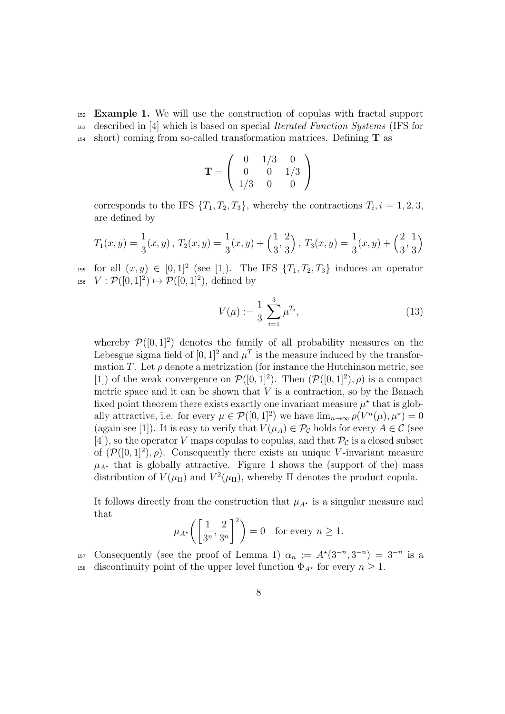<sup>152</sup> **Example 1.** We will use the construction of copulas with fractal support <sup>153</sup> described in [4] which is based on special *Iterated Function Systems* (IFS for <sup>154</sup> short) coming from so-called transformation matrices. Defining **T** as

$$
\mathbf{T} = \left( \begin{array}{ccc} 0 & 1/3 & 0 \\ 0 & 0 & 1/3 \\ 1/3 & 0 & 0 \end{array} \right)
$$

corresponds to the IFS  $\{T_1, T_2, T_3\}$ , whereby the contractions  $T_i$ ,  $i = 1, 2, 3$ , are defined by

$$
T_1(x,y) = \frac{1}{3}(x,y), T_2(x,y) = \frac{1}{3}(x,y) + \left(\frac{1}{3},\frac{2}{3}\right), T_3(x,y) = \frac{1}{3}(x,y) + \left(\frac{2}{3},\frac{1}{3}\right)
$$

155 for all  $(x, y) \in [0, 1]^2$  (see [1]). The IFS  $\{T_1, T_2, T_3\}$  induces an operator 156  $V: \mathcal{P}([0, 1]^2) \mapsto \mathcal{P}([0, 1]^2)$ , defined by

$$
V(\mu) := \frac{1}{3} \sum_{i=1}^{3} \mu^{T_i},\tag{13}
$$

whereby  $\mathcal{P}([0,1]^2)$  denotes the family of all probability measures on the Lebesgue sigma field of  $[0, 1]^2$  and  $\mu^T$  is the measure induced by the transformation *T*. Let  $\rho$  denote a metrization (for instance the Hutchinson metric, see [1]) of the weak convergence on  $\mathcal{P}([0,1]^2)$ . Then  $(\mathcal{P}([0,1]^2), \rho)$  is a compact metric space and it can be shown that  $V$  is a contraction, so by the Banach fixed point theorem there exists exactly one invariant measure  $\mu^*$  that is globally attractive, i.e. for every  $\mu \in \mathcal{P}([0,1]^2)$  we have  $\lim_{n\to\infty} \rho(V^n(\mu), \mu^*) = 0$ (again see [1]). It is easy to verify that  $V(\mu_A) \in \mathcal{P}_{\mathcal{C}}$  holds for every  $A \in \mathcal{C}$  (see [4]), so the operator *V* maps copulas to copulas, and that  $\mathcal{P}_c$  is a closed subset of  $(\mathcal{P}([0,1]^2), \rho)$ . Consequently there exists an unique *V*-invariant measure  $\mu_{A^*}$  that is globally attractive. Figure 1 shows the (support of the) mass distribution of  $V(\mu_{\Pi})$  and  $V^2(\mu_{\Pi})$ , whereby  $\Pi$  denotes the product copula.

It follows directly from the construction that  $\mu_{A^*}$  is a singular measure and that

$$
\mu_{A^*}\bigg(\bigg[\frac{1}{3^n}, \frac{2}{3^n}\bigg]^2\bigg) = 0 \quad \text{for every } n \ge 1.
$$

consequently (see the proof of Lemma 1)  $\alpha_n := A^*(3^{-n}, 3^{-n}) = 3^{-n}$  is a 158 discontinuity point of the upper level function  $\Phi_{A^*}$  for every  $n \geq 1$ .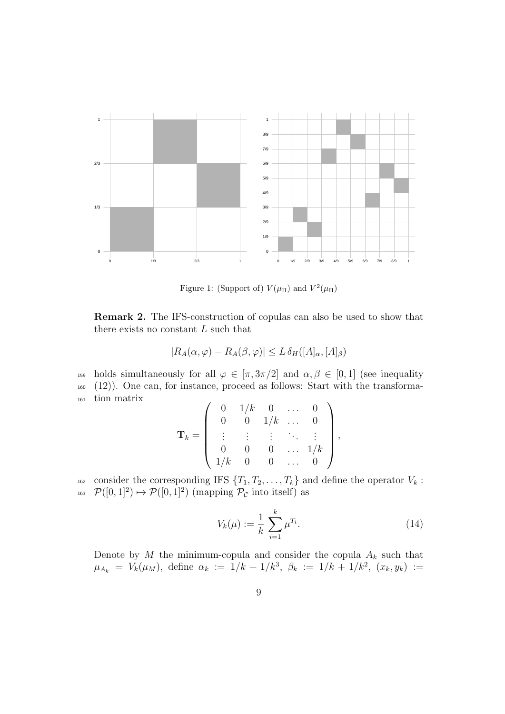

Figure 1: (Support of)  $V(\mu_{\Pi})$  and  $V^2(\mu_{\Pi})$ 

**Remark 2.** The IFS-construction of copulas can also be used to show that there exists no constant *L* such that

$$
|R_A(\alpha,\varphi) - R_A(\beta,\varphi)| \le L \,\delta_H([A]_\alpha,[A]_\beta)
$$

159 holds simultaneously for all  $\varphi \in [\pi, 3\pi/2]$  and  $\alpha, \beta \in [0, 1]$  (see inequality <sup>160</sup> (12)). One can, for instance, proceed as follows: Start with the transforma-<sup>161</sup> tion matrix  $\overline{1}$  $\overline{\phantom{0}}$ 

$$
\mathbf{T}_k = \left( \begin{array}{ccccc} 0 & 1/k & 0 & \dots & 0 \\ 0 & 0 & 1/k & \dots & 0 \\ \vdots & \vdots & \vdots & \ddots & \vdots \\ 0 & 0 & 0 & \dots & 1/k \\ 1/k & 0 & 0 & \dots & 0 \end{array} \right),
$$

162 consider the corresponding IFS  $\{T_1, T_2, \ldots, T_k\}$  and define the operator  $V_k$ : <sup>163</sup>  $\mathcal{P}([0,1]^2) \mapsto \mathcal{P}([0,1]^2)$  (mapping  $\mathcal{P}_{\mathcal{C}}$  into itself) as

$$
V_k(\mu) := \frac{1}{k} \sum_{i=1}^k \mu^{T_i}.
$$
 (14)

Denote by  $M$  the minimum-copula and consider the copula  $A_k$  such that  $\mu_{A_k} = V_k(\mu_M)$ , define  $\alpha_k := 1/k + 1/k^3$ ,  $\beta_k := 1/k + 1/k^2$ ,  $(x_k, y_k) :=$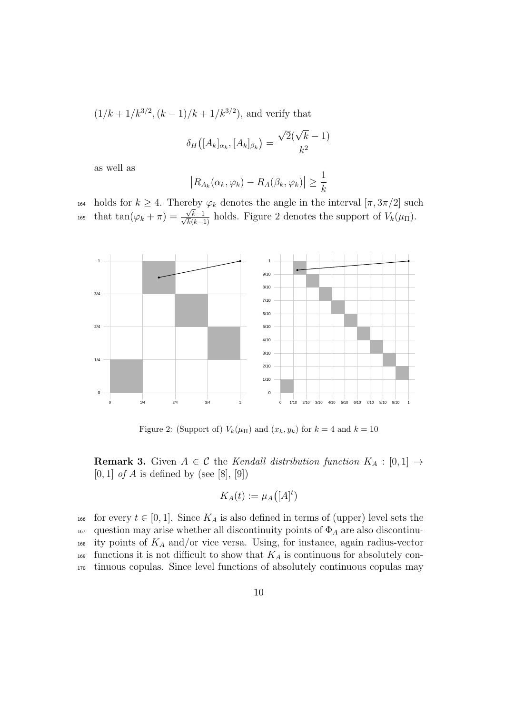$(1/k + 1/k^{3/2}, (k-1)/k + 1/k^{3/2})$ , and verify that

$$
\delta_H([A_k]_{\alpha_k}, [A_k]_{\beta_k}) = \frac{\sqrt{2}(\sqrt{k}-1)}{k^2}
$$

as well as

$$
|R_{A_k}(\alpha_k, \varphi_k) - R_A(\beta_k, \varphi_k)| \ge \frac{1}{k}
$$

164 holds for  $k \geq 4$ . Thereby  $\varphi_k$  denotes the angle in the interval  $[\pi, 3\pi/2]$  such that tan( $\varphi_k + \pi$ ) =  $\frac{\sqrt{k}}{\sqrt{k}}$ <sup>*t*<sub>165</sub> that  $tan(\varphi_k + \pi) = \frac{\sqrt{k-1}}{\sqrt{k(k-1)}}$  holds. Figure 2 denotes the support of  $V_k(\mu_{\Pi})$ .</sup>



Figure 2: (Support of)  $V_k(\mu_{\Pi})$  and  $(x_k, y_k)$  for  $k = 4$  and  $k = 10$ 

**Remark 3.** Given  $A \in \mathcal{C}$  the *Kendall distribution function*  $K_A : [0,1] \rightarrow$ [0*,* 1] *of A* is defined by (see [8], [9])

$$
K_A(t) := \mu_A([A]^t)
$$

166 for every  $t \in [0,1]$ . Since  $K_A$  is also defined in terms of (upper) level sets the <sup>167</sup> question may arise whether all discontinuity points of Φ*<sup>A</sup>* are also discontinu-<sup>168</sup> ity points of *K<sup>A</sup>* and/or vice versa. Using, for instance, again radius-vector  $_{169}$  functions it is not difficult to show that  $K_A$  is continuous for absolutely con-<sup>170</sup> tinuous copulas. Since level functions of absolutely continuous copulas may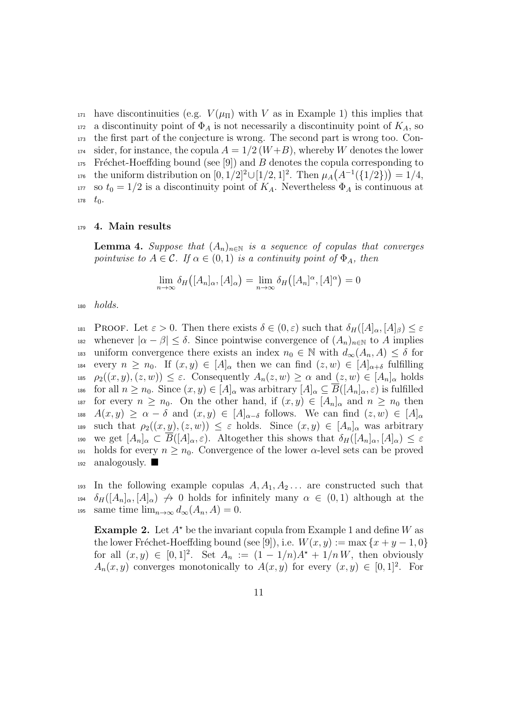171 have discontinuities (e.g.  $V(\mu_{\Pi})$  with *V* as in Example 1) this implies that 172 a discontinuity point of  $\Phi_A$  is not necessarily a discontinuity point of  $K_A$ , so <sup>173</sup> the first part of the conjecture is wrong. The second part is wrong too. Con-<sup>174</sup> sider, for instance, the copula  $A = 1/2(W+B)$ , whereby *W* denotes the lower  $175$  Fréchet-Hoeffding bound (see [9]) and *B* denotes the copula corresponding to  $t_{176}$  the uniform distribution on  $[0, 1/2]^2 \cup [1/2, 1]^2$ . Then  $\mu_A(A^{-1}(\{1/2\})) = 1/4$ , 177 so  $t_0 = 1/2$  is a discontinuity point of  $K_A$ . Nevertheless  $\Phi_A$  is continuous at  $178 \text{ } t_0.$ 

#### <sup>179</sup> **4. Main results**

**Lemma 4.** *Suppose that*  $(A_n)_{n \in \mathbb{N}}$  *is a sequence of copulas that converges pointwise to*  $A \in \mathcal{C}$ *. If*  $\alpha \in (0,1)$  *is a continuity point of*  $\Phi_A$ *, then* 

$$
\lim_{n \to \infty} \delta_H([A_n]_\alpha, [A]_\alpha) = \lim_{n \to \infty} \delta_H([A_n]^\alpha, [A]^\alpha) = 0
$$

<sup>180</sup> *holds.*

181 PROOF. Let  $\varepsilon > 0$ . Then there exists  $\delta \in (0, \varepsilon)$  such that  $\delta_H([A]_\alpha, [A]_\beta) \leq \varepsilon$ 182 whenever  $|\alpha - \beta| \leq \delta$ . Since pointwise convergence of  $(A_n)_{n \in \mathbb{N}}$  to A implies 183 uniform convergence there exists an index  $n_0 \in \mathbb{N}$  with  $d_{\infty}(A_n, A) \leq \delta$  for 184 every  $n \geq n_0$ . If  $(x, y) \in [A]_\alpha$  then we can find  $(z, w) \in [A]_{\alpha+\delta}$  fulfilling 185  $\rho_2((x, y), (z, w)) \leq \varepsilon$ . Consequently  $A_n(z, w) \geq \alpha$  and  $(z, w) \in [A_n]_\alpha$  holds 186 for all  $n \geq n_0$ . Since  $(x, y) \in [A]_\alpha$  was arbitrary  $[A]_\alpha \subseteq \overline{B}([A_n]_\alpha, \varepsilon)$  is fulfilled 187 for every  $n \geq n_0$ . On the other hand, if  $(x, y) \in [A_n]_\alpha$  and  $n \geq n_0$  then 188  $A(x,y) \geq \alpha - \delta$  and  $(x,y) \in [A]_{\alpha-\delta}$  follows. We can find  $(z,w) \in [A]_{\alpha}$ 189 such that  $\rho_2((x, y), (z, w)) \leq \varepsilon$  holds. Since  $(x, y) \in [A_n]_{\alpha}$  was arbitrary 190 we get  $[A_n]_\alpha \subset \overline{B}([A]_\alpha, \varepsilon)$ . Altogether this shows that  $\delta_H([A_n]_\alpha, [A]_\alpha) \leq \varepsilon$ 191 holds for every  $n \geq n_0$ . Convergence of the lower  $\alpha$ -level sets can be proved  $_{192}$  analogously.

193 In the following example copulas  $A, A_1, A_2, \ldots$  are constructed such that 194  $\delta_H([A_n]_\alpha,[A]_\alpha) \not\rightarrow 0$  holds for infinitely many  $\alpha \in (0,1)$  although at the 195 same time  $\lim_{n\to\infty} d_{\infty}(A_n, A) = 0$ .

**Example 2.** Let  $A^*$  be the invariant copula from Example 1 and define *W* as the lower Fréchet-Hoeffding bound (see [9]), i.e.  $W(x, y) := \max\{x + y - 1, 0\}$ for all  $(x, y) \in [0, 1]^2$ . Set  $A_n := (1 - 1/n)A^* + 1/nW$ , then obviously  $A_n(x, y)$  converges monotonically to  $A(x, y)$  for every  $(x, y) \in [0, 1]^2$ . For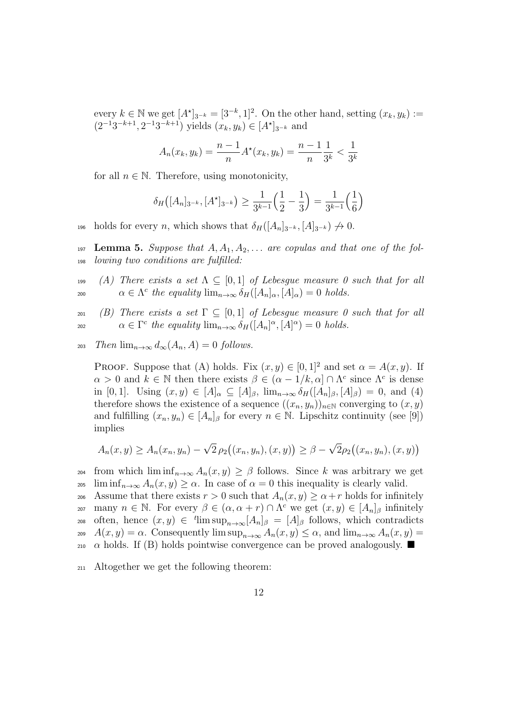every  $k \in \mathbb{N}$  we get  $[A^*]_{3^{-k}} = [3^{-k}, 1]^2$ . On the other hand, setting  $(x_k, y_k) :=$  $(2^{-1}3^{-k+1}, 2^{-1}3^{-k+1})$  yields  $(x_k, y_k) \in [A^*]_{3^{-k}}$  and

$$
A_n(x_k, y_k) = \frac{n-1}{n} A^\star(x_k, y_k) = \frac{n-1}{n} \frac{1}{3^k} < \frac{1}{3^k}
$$

for all  $n \in \mathbb{N}$ . Therefore, using monotonicity,

$$
\delta_H([A_n]_{3^{-k}}, [A^{\star}]_{3^{-k}}) \ge \frac{1}{3^{k-1}} \left(\frac{1}{2} - \frac{1}{3}\right) = \frac{1}{3^{k-1}} \left(\frac{1}{6}\right)
$$

 $heta$  holds for every *n*, which shows that  $\delta_H([A_n]_{3^{-k}}, [A]_{3^{-k}}) \nrightarrow 0$ .

- 197 **Lemma 5.** Suppose that  $A, A_1, A_2, \ldots$  are copulas and that one of the fol-<sup>198</sup> *lowing two conditions are fulfilled:*
- 199 *(A) There exists a set*  $\Lambda \subseteq [0,1]$  *of Lebesgue measure 0 such that for all* 200  $\alpha \in \Lambda^c$  *the equality*  $\lim_{n\to\infty} \delta_H([A_n]_\alpha,[A]_\alpha) = 0$  *holds.*
- 201 *(B) There exists a set*  $\Gamma \subseteq [0,1]$  *of Lebesgue measure 0 such that for all*  $\alpha \in \Gamma^c$  *the equality*  $\lim_{n\to\infty} \delta_H([A_n]^\alpha, [A]^\alpha) = 0$  *holds.*

 $\lim_{n\to\infty} d_{\infty}(A_n, A) = 0$  *follows.* 

PROOF. Suppose that (A) holds. Fix  $(x, y) \in [0, 1]^2$  and set  $\alpha = A(x, y)$ . If  $\alpha > 0$  and  $k \in \mathbb{N}$  then there exists  $\beta \in (\alpha - 1/k, \alpha] \cap \Lambda^c$  since  $\Lambda^c$  is dense in  $[0, 1]$ . Using  $(x, y) \in [A]_{\alpha} \subseteq [A]_{\beta}$ ,  $\lim_{n \to \infty} \delta_H([A_n]_{\beta}, [A]_{\beta}) = 0$ , and (4) therefore shows the existence of a sequence  $((x_n, y_n))_{n \in \mathbb{N}}$  converging to  $(x, y)$ and fulfilling  $(x_n, y_n) \in [A_n]_\beta$  for every  $n \in \mathbb{N}$ . Lipschitz continuity (see [9]) implies

$$
A_n(x, y) \ge A_n(x_n, y_n) - \sqrt{2} \rho_2((x_n, y_n), (x, y)) \ge \beta - \sqrt{2} \rho_2((x_n, y_n), (x, y))
$$

204 from which  $\liminf_{n\to\infty} A_n(x,y) \geq \beta$  follows. Since *k* was arbitrary we get  $205$  lim inf $n \to \infty$   $A_n(x, y) \ge \alpha$ . In case of  $\alpha = 0$  this inequality is clearly valid.

206 Assume that there exists  $r > 0$  such that  $A_n(x, y) \ge \alpha + r$  holds for infinitely  $p_0$  many  $n \in \mathbb{N}$ . For every  $\beta \in (\alpha, \alpha + r) \cap \Lambda^c$  we get  $(x, y) \in [A_n]_\beta$  infinitely  $\phi$  as often, hence  $(x, y) \in \text{'}^{\text{t}}$  lim  $\sup_{n \to \infty} [A_n]_{\beta} = [A]_{\beta}$  follows, which contradicts 209  $A(x, y) = \alpha$ . Consequently  $\limsup_{n \to \infty} A_n(x, y) \leq \alpha$ , and  $\lim_{n \to \infty} A_n(x, y) =$  $\alpha$  holds. If (B) holds pointwise convergence can be proved analogously.

<sup>211</sup> Altogether we get the following theorem: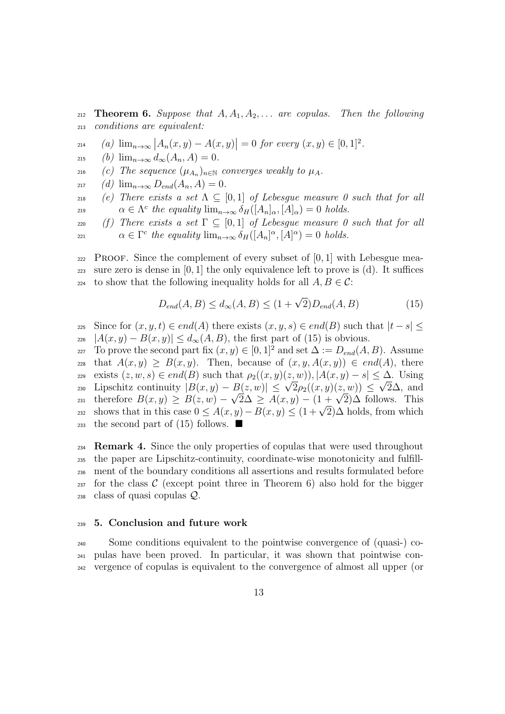212 **Theorem 6.** Suppose that  $A, A_1, A_2, \ldots$  are copulas. Then the following <sup>213</sup> *conditions are equivalent:*

- $\lim_{x \to \infty} |A_n(x, y) A(x, y)| = 0$  *for every*  $(x, y) \in [0, 1]^2$ .
- $215$  *(b)*  $\lim_{n\to\infty} d_{\infty}(A_n, A) = 0.$
- $\mu_{A_n}$  (*c*) *The sequence*  $(\mu_{A_n})_{n \in \mathbb{N}}$  *converges weakly to*  $\mu_A$ *.*
- $217$  *(d)*  $\lim_{n\to\infty} D_{end}(A_n, A) = 0.$
- 218 *(e) There exists a set*  $\Lambda \subseteq [0,1]$  *of Lebesgue measure 0 such that for all a*  $\alpha \in \Lambda^c$  *the equality*  $\lim_{n\to\infty} \delta_H([A_n]_\alpha,[A]_\alpha) = 0$  *holds.*
- 220 *(f) There exists a set*  $\Gamma \subseteq [0,1]$  *of Lebesgue measure 0 such that for all α*  $\in \Gamma^c$  *the equality*  $\lim_{n\to\infty} \delta_H([A_n]^{\alpha}, [A]^{\alpha}) = 0$  *holds.*

<sup>222</sup> Proof. Since the complement of every subset of [0*,* 1] with Lebesgue mea-<sup>223</sup> sure zero is dense in  $[0, 1]$  the only equivalence left to prove is (d). It suffices 224 to show that the following inequality holds for all  $A, B \in \mathcal{C}$ :

$$
D_{end}(A,B) \le d_{\infty}(A,B) \le (1+\sqrt{2})D_{end}(A,B)
$$
\n(15)

 $z_{25}$  Since for  $(x, y, t) \in end(A)$  there exists  $(x, y, s) \in end(B)$  such that  $|t - s| \leq$  $|A(x, y) - B(x, y)| \leq d_{\infty}(A, B)$ , the first part of (15) is obvious.

227 To prove the second part fix  $(x, y) \in [0, 1]^2$  and set  $\Delta := D_{end}(A, B)$ . Assume 228 that  $A(x, y) \geq B(x, y)$ . Then, because of  $(x, y, A(x, y)) \in end(A)$ , there  $\text{exists}(z, w, s) \in end(B) \text{ such that } \rho_2((x, y)(z, w)), |A(x, y) - s| \leq \Delta. \text{ Using } \mathbb{Z}$ Lipschitz continuity  $|B(x, y) - B(z, w)| \leq \sqrt{2}\rho_2((x, y)(z, w)) \leq \sqrt{2}\Delta$ , and<br>  $\sqrt{2}$  *Lipschitz continuity*  $|B(x, y) - B(z, w)| \leq \sqrt{2}\rho_2((x, y)(z, w)) \leq \sqrt{2}\Delta$ , and  $\text{Lipschitz continuity } |B(x, y) - B(z, w)| \leq \sqrt{2\beta_2((x, y)(z, w))} \leq \sqrt{2\Delta}$ , and therefore  $B(x, y) \geq B(z, w) - \sqrt{2\Delta} \geq A(x, y) - (1 + \sqrt{2})\Delta$  follows. This shows that in this case  $0 \leq A(x, y) - B(x, y) \leq C(x, y) - B(x, y)$ <br>as a shows that in this case  $0 \leq A(x, y) - B(x, y) \leq C(1 + \sqrt{2})\Delta$  holds, from which 233 the second part of  $(15)$  follows.

 **Remark 4.** Since the only properties of copulas that were used throughout the paper are Lipschitz-continuity, coordinate-wise monotonicity and fulfill- ment of the boundary conditions all assertions and results formulated before  $_{237}$  for the class  $\mathcal C$  (except point three in Theorem 6) also hold for the bigger class of quasi copulas *Q*.

#### <sup>239</sup> **5. Conclusion and future work**

<sup>240</sup> Some conditions equivalent to the pointwise convergence of (quasi-) co-<sup>241</sup> pulas have been proved. In particular, it was shown that pointwise con-<sup>242</sup> vergence of copulas is equivalent to the convergence of almost all upper (or